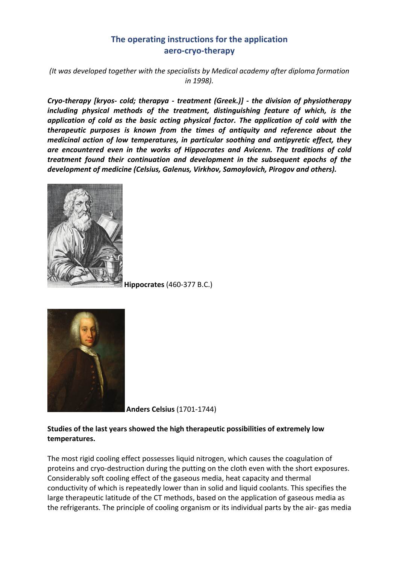# **The operating instructions for the application aero-cryo-therapy**

*(It was developed together with the specialists by Medical academy after diploma formation in 1998).* 

*Cryo-therapy [kryos- cold; therapya - treatment (Greek.)] - the division of physiotherapy including physical methods of the treatment, distinguishing feature of which, is the application of cold as the basic acting physical factor. The application of cold with the therapeutic purposes is known from the times of antiquity and reference about the medicinal action of low temperatures, in particular soothing and antipyretic effect, they are encountered even in the works of Hippocrates and Avicenn. The traditions of cold treatment found their continuation and development in the subsequent epochs of the development of medicine (Celsius, Galenus, Virkhov, Samoylovich, Pirogov and others).* 



**Hippocrates** (460-377 B.C.)



**Anders Celsius** (1701-1744)

### **Studies of the last years showed the high therapeutic possibilities of extremely low temperatures.**

The most rigid cooling effect possesses liquid nitrogen, which causes the coagulation of proteins and cryo-destruction during the putting on the cloth even with the short exposures. Considerably soft cooling effect of the gaseous media, heat capacity and thermal conductivity of which is repeatedly lower than in solid and liquid coolants. This specifies the large therapeutic latitude of the CT methods, based on the application of gaseous media as the refrigerants. The principle of cooling organism or its individual parts by the air- gas media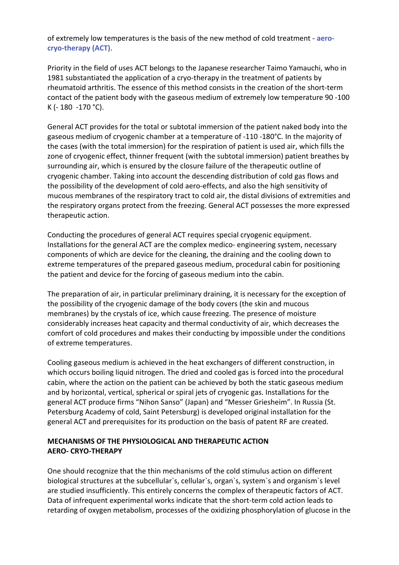of extremely low temperatures is the basis of the new method of cold treatment - **aerocryo-therapy (ACT)**.

Priority in the field of uses ACT belongs to the Japanese researcher Taimo Yamauchi, who in 1981 substantiated the application of a cryo-therapy in the treatment of patients by rheumatoid arthritis. The essence of this method consists in the creation of the short-term contact of the patient body with the gaseous medium of extremely low temperature 90 -100 K (- 180 -170 °C).

General ACT provides for the total or subtotal immersion of the patient naked body into the gaseous medium of cryogenic chamber at a temperature of -110 -180°C. In the majority of the cases (with the total immersion) for the respiration of patient is used air, which fills the zone of cryogenic effect, thinner frequent (with the subtotal immersion) patient breathes by surrounding air, which is ensured by the closure failure of the therapeutic outline of cryogenic chamber. Taking into account the descending distribution of cold gas flows and the possibility of the development of cold aero-effects, and also the high sensitivity of mucous membranes of the respiratory tract to cold air, the distal divisions of extremities and the respiratory organs protect from the freezing. General ACT possesses the more expressed therapeutic action.

Conducting the procedures of general ACT requires special cryogenic equipment. Installations for the general ACT are the complex medico- engineering system, necessary components of which are device for the cleaning, the draining and the cooling down to extreme temperatures of the prepared gaseous medium, procedural cabin for positioning the patient and device for the forcing of gaseous medium into the cabin.

The preparation of air, in particular preliminary draining, it is necessary for the exception of the possibility of the cryogenic damage of the body covers (the skin and mucous membranes) by the crystals of ice, which cause freezing. The presence of moisture considerably increases heat capacity and thermal conductivity of air, which decreases the comfort of cold procedures and makes their conducting by impossible under the conditions of extreme temperatures.

Cooling gaseous medium is achieved in the heat exchangers of different construction, in which occurs boiling liquid nitrogen. The dried and cooled gas is forced into the procedural cabin, where the action on the patient can be achieved by both the static gaseous medium and by horizontal, vertical, spherical or spiral jets of cryogenic gas. Installations for the general ACT produce firms "Nihon Sanso" (Japan) and "Messer Griesheim". In Russia (St. Petersburg Academy of cold, Saint Petersburg) is developed original installation for the general ACT and prerequisites for its production on the basis of patent RF are created.

### **MECHANISMS OF THE PHYSIOLOGICAL AND THERAPEUTIC ACTION AERO- CRYO-THERAPY**

One should recognize that the thin mechanisms of the cold stimulus action on different biological structures at the subcellular`s, cellular`s, organ`s, system`s and organism`s level are studied insufficiently. This entirely concerns the complex of therapeutic factors of ACT. Data of infrequent experimental works indicate that the short-term cold action leads to retarding of oxygen metabolism, processes of the oxidizing phosphorylation of glucose in the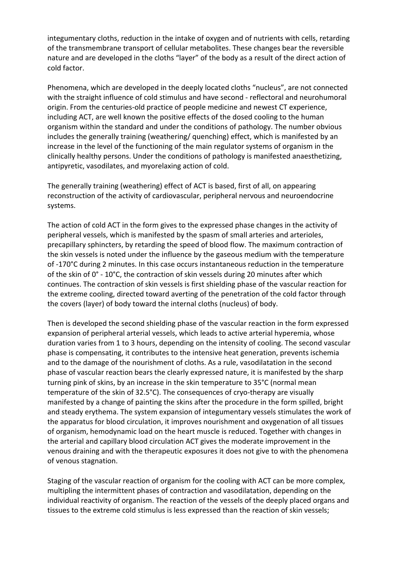integumentary cloths, reduction in the intake of oxygen and of nutrients with cells, retarding of the transmembrane transport of cellular metabolites. These changes bear the reversible nature and are developed in the cloths "layer" of the body as a result of the direct action of cold factor.

Phenomena, which are developed in the deeply located cloths "nucleus", are not connected with the straight influence of cold stimulus and have second - reflectoral and neurohumoral origin. From the centuries-old practice of people medicine and newest CT experience, including ACT, are well known the positive effects of the dosed cooling to the human organism within the standard and under the conditions of pathology. The number obvious includes the generally training (weathering/ quenching) effect, which is manifested by an increase in the level of the functioning of the main regulator systems of organism in the clinically healthy persons. Under the conditions of pathology is manifested anaesthetizing, antipyretic, vasodilates, and myorelaxing action of cold.

The generally training (weathering) effect of ACT is based, first of all, on appearing reconstruction of the activity of cardiovascular, peripheral nervous and neuroendocrine systems.

The action of cold ACT in the form gives to the expressed phase changes in the activity of peripheral vessels, which is manifested by the spasm of small arteries and arterioles, precapillary sphincters, by retarding the speed of blood flow. The maximum contraction of the skin vessels is noted under the influence by the gaseous medium with the temperature of -170°C during 2 minutes. In this case occurs instantaneous reduction in the temperature of the skin of 0° - 10°C, the contraction of skin vessels during 20 minutes after which continues. The contraction of skin vessels is first shielding phase of the vascular reaction for the extreme cooling, directed toward averting of the penetration of the cold factor through the covers (layer) of body toward the internal cloths (nucleus) of body.

Then is developed the second shielding phase of the vascular reaction in the form expressed expansion of peripheral arterial vessels, which leads to active arterial hyperemia, whose duration varies from 1 to 3 hours, depending on the intensity of cooling. The second vascular phase is compensating, it contributes to the intensive heat generation, prevents ischemia and to the damage of the nourishment of cloths. As a rule, vasodilatation in the second phase of vascular reaction bears the clearly expressed nature, it is manifested by the sharp turning pink of skins, by an increase in the skin temperature to 35°C (normal mean temperature of the skin of 32.5°C). The consequences of cryo-therapy are visually manifested by a change of painting the skins after the procedure in the form spilled, bright and steady erythema. The system expansion of integumentary vessels stimulates the work of the apparatus for blood circulation, it improves nourishment and oxygenation of all tissues of organism, hemodynamic load on the heart muscle is reduced. Together with changes in the arterial and capillary blood circulation ACT gives the moderate improvement in the venous draining and with the therapeutic exposures it does not give to with the phenomena of venous stagnation.

Staging of the vascular reaction of organism for the cooling with ACT can be more complex, multipling the intermittent phases of contraction and vasodilatation, depending on the individual reactivity of organism. The reaction of the vessels of the deeply placed organs and tissues to the extreme cold stimulus is less expressed than the reaction of skin vessels;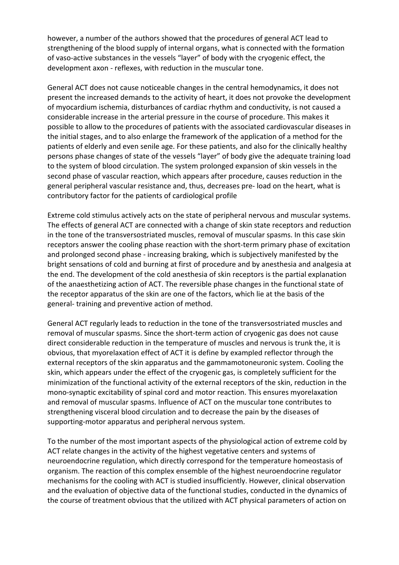however, a number of the authors showed that the procedures of general ACT lead to strengthening of the blood supply of internal organs, what is connected with the formation of vaso-active substances in the vessels "layer" of body with the cryogenic effect, the development axon - reflexes, with reduction in the muscular tone.

General ACT does not cause noticeable changes in the central hemodynamics, it does not present the increased demands to the activity of heart, it does not provoke the development of myocardium ischemia, disturbances of cardiac rhythm and conductivity, is not caused a considerable increase in the arterial pressure in the course of procedure. This makes it possible to allow to the procedures of patients with the associated cardiovascular diseases in the initial stages, and to also enlarge the framework of the application of a method for the patients of elderly and even senile age. For these patients, and also for the clinically healthy persons phase changes of state of the vessels "layer" of body give the adequate training load to the system of blood circulation. The system prolonged expansion of skin vessels in the second phase of vascular reaction, which appears after procedure, causes reduction in the general peripheral vascular resistance and, thus, decreases pre- load on the heart, what is contributory factor for the patients of cardiological profile

Extreme cold stimulus actively acts on the state of peripheral nervous and muscular systems. The effects of general ACT are connected with a change of skin state receptors and reduction in the tone of the transversostriated muscles, removal of muscular spasms. In this case skin receptors answer the cooling phase reaction with the short-term primary phase of excitation and prolonged second phase - increasing braking, which is subjectively manifested by the bright sensations of cold and burning at first of procedure and by anesthesia and analgesia at the end. The development of the cold anesthesia of skin receptors is the partial explanation of the anaesthetizing action of ACT. The reversible phase changes in the functional state of the receptor apparatus of the skin are one of the factors, which lie at the basis of the general- training and preventive action of method.

General ACT regularly leads to reduction in the tone of the transversostriated muscles and removal of muscular spasms. Since the short-term action of cryogenic gas does not cause direct considerable reduction in the temperature of muscles and nervous is trunk the, it is obvious, that myorelaxation effect of ACT it is define by exampled reflector through the external receptors of the skin apparatus and the gammamotoneuronic system. Cooling the skin, which appears under the effect of the cryogenic gas, is completely sufficient for the minimization of the functional activity of the external receptors of the skin, reduction in the mono-synaptic excitability of spinal cord and motor reaction. This ensures myorelaxation and removal of muscular spasms. Influence of ACT on the muscular tone contributes to strengthening visceral blood circulation and to decrease the pain by the diseases of supporting-motor apparatus and peripheral nervous system.

To the number of the most important aspects of the physiological action of extreme cold by ACT relate changes in the activity of the highest vegetative centers and systems of neuroendocrine regulation, which directly correspond for the temperature homeostasis of organism. The reaction of this complex ensemble of the highest neuroendocrine regulator mechanisms for the cooling with ACT is studied insufficiently. However, clinical observation and the evaluation of objective data of the functional studies, conducted in the dynamics of the course of treatment obvious that the utilized with ACT physical parameters of action on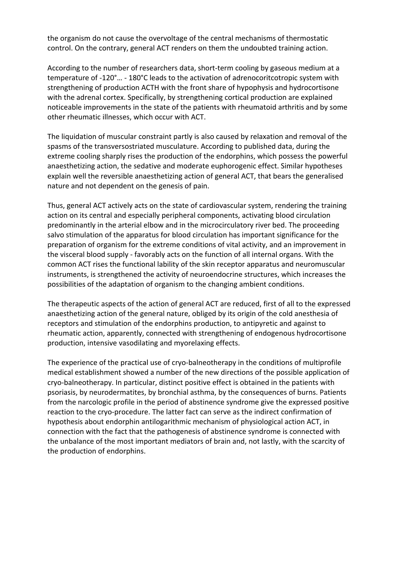the organism do not cause the overvoltage of the central mechanisms of thermostatic control. On the contrary, general ACT renders on them the undoubted training action.

According to the number of researchers data, short-term cooling by gaseous medium at a temperature of -120°… - 180°C leads to the activation of adrenocoritcotropic system with strengthening of production ACTH with the front share of hypophysis and hydrocortisone with the adrenal cortex. Specifically, by strengthening cortical production are explained noticeable improvements in the state of the patients with rheumatoid arthritis and by some other rheumatic illnesses, which occur with ACT.

The liquidation of muscular constraint partly is also caused by relaxation and removal of the spasms of the transversostriated musculature. According to published data, during the extreme cooling sharply rises the production of the endorphins, which possess the powerful anaesthetizing action, the sedative and moderate euphorogenic effect. Similar hypotheses explain well the reversible anaesthetizing action of general ACT, that bears the generalised nature and not dependent on the genesis of pain.

Thus, general ACT actively acts on the state of cardiovascular system, rendering the training action on its central and especially peripheral components, activating blood circulation predominantly in the arterial elbow and in the microcirculatory river bed. The proceeding salvo stimulation of the apparatus for blood circulation has important significance for the preparation of organism for the extreme conditions of vital activity, and an improvement in the visceral blood supply - favorably acts on the function of all internal organs. With the common ACT rises the functional lability of the skin receptor apparatus and neuromuscular instruments, is strengthened the activity of neuroendocrine structures, which increases the possibilities of the adaptation of organism to the changing ambient conditions.

The therapeutic aspects of the action of general ACT are reduced, first of all to the expressed anaesthetizing action of the general nature, obliged by its origin of the cold anesthesia of receptors and stimulation of the endorphins production, to antipyretic and against to rheumatic action, apparently, connected with strengthening of endogenous hydrocortisone production, intensive vasodilating and myorelaxing effects.

The experience of the practical use of cryo-balneotherapy in the conditions of multiprofile medical establishment showed a number of the new directions of the possible application of cryo-balneotherapy. In particular, distinct positive effect is obtained in the patients with psoriasis, by neurodermatites, by bronchial asthma, by the consequences of burns. Patients from the narcologic profile in the period of abstinence syndrome give the expressed positive reaction to the cryo-procedure. The latter fact can serve as the indirect confirmation of hypothesis about endorphin antilogarithmic mechanism of physiological action ACT, in connection with the fact that the pathogenesis of abstinence syndrome is connected with the unbalance of the most important mediators of brain and, not lastly, with the scarcity of the production of endorphins.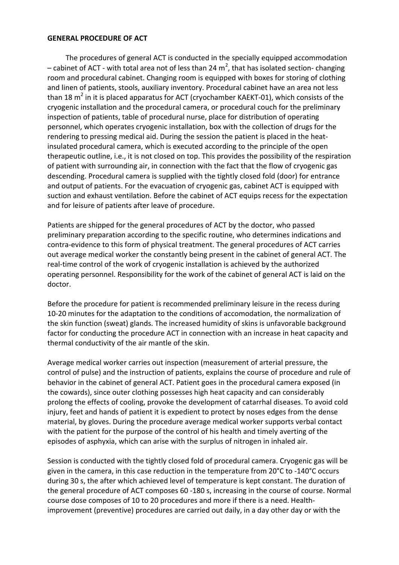#### **GENERAL PROCEDURE OF ACT**

 The procedures of general ACT is conducted in the specially equipped accommodation – cabinet of ACT - with total area not of less than 24  $m^2$ , that has isolated section- changing room and procedural cabinet. Changing room is equipped with boxes for storing of clothing and linen of patients, stools, auxiliary inventory. Procedural cabinet have an area not less than 18 m<sup>2</sup> in it is placed apparatus for ACT (cryochamber KAEKT-01), which consists of the cryogenic installation and the procedural camera, or procedural couch for the preliminary inspection of patients, table of procedural nurse, place for distribution of operating personnel, which operates cryogenic installation, box with the collection of drugs for the rendering to pressing medical aid. During the session the patient is placed in the heatinsulated procedural camera, which is executed according to the principle of the open therapeutic outline, i.e., it is not closed on top. This provides the possibility of the respiration of patient with surrounding air, in connection with the fact that the flow of cryogenic gas descending. Procedural camera is supplied with the tightly closed fold (door) for entrance and output of patients. For the evacuation of cryogenic gas, cabinet ACT is equipped with suction and exhaust ventilation. Before the cabinet of ACT equips recess for the expectation and for leisure of patients after leave of procedure.

Patients are shipped for the general procedures of ACT by the doctor, who passed preliminary preparation according to the specific routine, who determines indications and contra-evidence to this form of physical treatment. The general procedures of ACT carries out average medical worker the constantly being present in the cabinet of general ACT. The real-time control of the work of cryogenic installation is achieved by the authorized operating personnel. Responsibility for the work of the cabinet of general ACT is laid on the doctor.

Before the procedure for patient is recommended preliminary leisure in the recess during 10-20 minutes for the adaptation to the conditions of accomodation, the normalization of the skin function (sweat) glands. The increased humidity of skins is unfavorable background factor for conducting the procedure ACT in connection with an increase in heat capacity and thermal conductivity of the air mantle of the skin.

Average medical worker carries out inspection (measurement of arterial pressure, the control of pulse) and the instruction of patients, explains the course of procedure and rule of behavior in the cabinet of general ACT. Patient goes in the procedural camera exposed (in the cowards), since outer clothing possesses high heat capacity and can considerably prolong the effects of cooling, provoke the development of catarrhal diseases. To avoid cold injury, feet and hands of patient it is expedient to protect by noses edges from the dense material, by gloves. During the procedure average medical worker supports verbal contact with the patient for the purpose of the control of his health and timely averting of the episodes of asphyxia, which can arise with the surplus of nitrogen in inhaled air.

Session is conducted with the tightly closed fold of procedural camera. Cryogenic gas will be given in the camera, in this case reduction in the temperature from 20°C to -140°C occurs during 30 s, the after which achieved level of temperature is kept constant. The duration of the general procedure of ACT composes 60 -180 s, increasing in the course of course. Normal course dose composes of 10 to 20 procedures and more if there is a need. Healthimprovement (preventive) procedures are carried out daily, in a day other day or with the